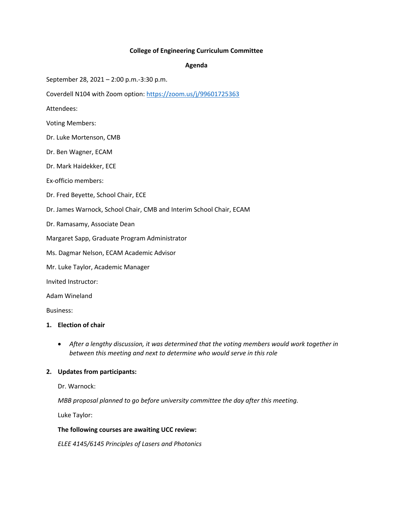# **College of Engineering Curriculum Committee**

#### **Agenda**

September 28, 2021 – 2:00 p.m.-3:30 p.m.

Coverdell N104 with Zoom option: https://zoom.us/j/99601725363

Attendees:

- Voting Members:
- Dr. Luke Mortenson, CMB
- Dr. Ben Wagner, ECAM
- Dr. Mark Haidekker, ECE
- Ex-officio members:
- Dr. Fred Beyette, School Chair, ECE
- Dr. James Warnock, School Chair, CMB and Interim School Chair, ECAM
- Dr. Ramasamy, Associate Dean
- Margaret Sapp, Graduate Program Administrator
- Ms. Dagmar Nelson, ECAM Academic Advisor
- Mr. Luke Taylor, Academic Manager
- Invited Instructor:

Adam Wineland

Business:

## **1. Election of chair**

• *After a lengthy discussion, it was determined that the voting members would work together in between this meeting and next to determine who would serve in this role* 

# **2. Updates from participants:**

Dr. Warnock:

*MBB proposal planned to go before university committee the day after this meeting.*

Luke Taylor:

#### **The following courses are awaiting UCC review:**

*ELEE 4145/6145 Principles of Lasers and Photonics*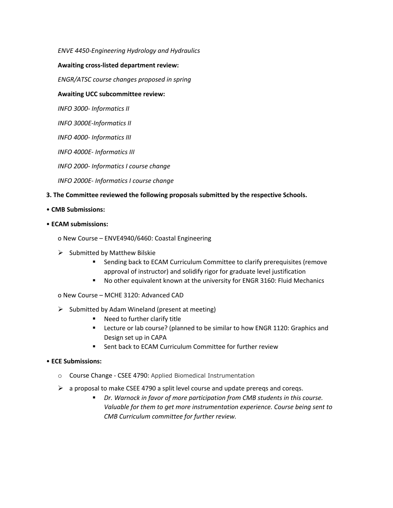# *ENVE 4450-Engineering Hydrology and Hydraulics*

### **Awaiting cross-listed department review:**

*ENGR/ATSC course changes proposed in spring*

## **Awaiting UCC subcommittee review:**

*INFO 3000- Informatics II*

*INFO 3000E-Informatics II*

*INFO 4000- Informatics III*

*INFO 4000E- Informatics III*

*INFO 2000- Informatics I course change*

*INFO 2000E- Informatics I course change*

### **3. The Committee reviewed the following proposals submitted by the respective Schools.**

### • **CMB Submissions:**

### • **ECAM submissions:**

o New Course – ENVE4940/6460: Coastal Engineering

- $\triangleright$  Submitted by Matthew Bilskie
	- Sending back to ECAM Curriculum Committee to clarify prerequisites (remove approval of instructor) and solidify rigor for graduate level justification
	- No other equivalent known at the university for ENGR 3160: Fluid Mechanics

o New Course – MCHE 3120: Advanced CAD

- $\triangleright$  Submitted by Adam Wineland (present at meeting)
	- Need to further clarify title
	- Lecture or lab course? (planned to be similar to how ENGR 1120: Graphics and Design set up in CAPA
	- Sent back to ECAM Curriculum Committee for further review

#### • **ECE Submissions:**

- o Course Change CSEE 4790: Applied Biomedical Instrumentation
- $\triangleright$  a proposal to make CSEE 4790 a split level course and update prereqs and coreqs.
	- Dr. Warnock in favor of more participation from CMB students in this course. *Valuable for them to get more instrumentation experience. Course being sent to CMB Curriculum committee for further review.*